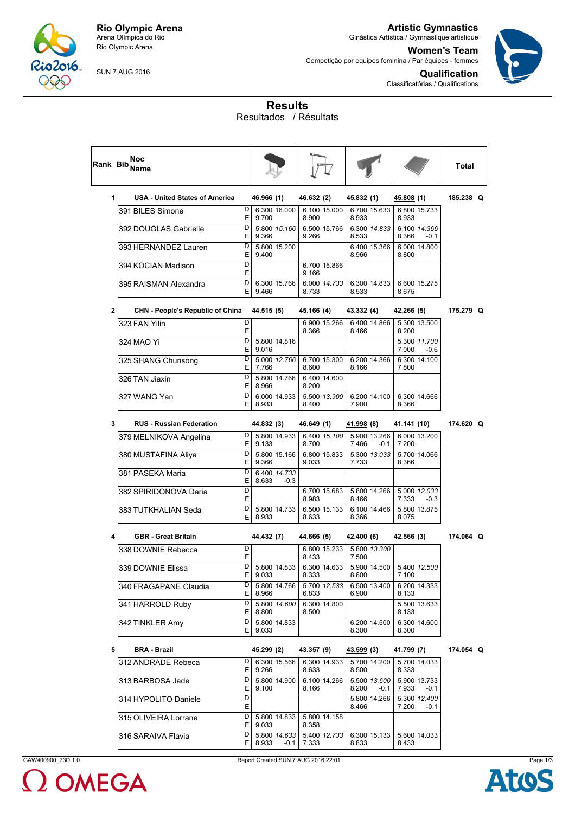

SUN 7 AUG 2016

**Artistic Gymnastics** Ginástica Artística / Gymnastique artistique

**Women's Team** Competição por equipes feminina / Par équipes - femmes



**Qualification** Classificatórias / Qualifications

**Results**

Resultados / Résultats

|              | Noc<br>Rank Bib Name                  |        |                                 |                       |                                 |                                 | Total     |
|--------------|---------------------------------------|--------|---------------------------------|-----------------------|---------------------------------|---------------------------------|-----------|
| 1            | <b>USA - United States of America</b> |        | 46.966 (1)                      | 46.632 (2)            | 45.832 (1)                      | <u>45.808</u> (1)               | 185.238 Q |
|              | 391 BILES Simone                      | D<br>E | 6.300 16.000<br>9.700           | 6.100 15.000<br>8.900 | 6.700 15.633<br>8.933           | 6.800 15.733<br>8.933           |           |
|              | 392 DOUGLAS Gabrielle                 | D<br>Е | 5.800 15.166<br>9.366           | 6.500 15.766<br>9.266 | 6.300 14.833<br>8.533           | 6.100 14.366<br>8.366<br>$-0.1$ |           |
|              | 393 HERNANDEZ Lauren                  | D<br>Ε | 5.800 15.200<br>9.400           |                       | 6.400 15.366<br>8.966           | 6.000 14.800<br>8.800           |           |
|              | 394 KOCIAN Madison                    | D<br>Ε |                                 | 6.700 15.866<br>9.166 |                                 |                                 |           |
|              | 395 RAISMAN Alexandra                 | D<br>E | 6.300 15.766<br>9.466           | 6.000 14.733<br>8.733 | 6.300 14.833<br>8.533           | 6.600 15.275<br>8.675           |           |
| $\mathbf{2}$ | CHN - People's Republic of China      |        | 44.515 (5)                      | 45.166 (4)            | 43.332 (4)                      | 42.266 (5)                      | 175.279 Q |
|              | 323 FAN Yilin                         | D<br>Е |                                 | 6.900 15.266<br>8.366 | 6.400 14.866<br>8.466           | 5.300 13.500<br>8.200           |           |
|              | 324 MAO Yi                            | D<br>Е | 5.800 14.816<br>9.016           |                       |                                 | 5.300 11.700<br>7.000<br>$-0.6$ |           |
|              | 325 SHANG Chunsong                    | D<br>Е | 5.000 12.766<br>7.766           | 6.700 15.300<br>8.600 | 6.200 14.366<br>8.166           | 6.300 14.100<br>7.800           |           |
|              | 326 TAN Jiaxin                        | D<br>Е | 5.800 14.766<br>8.966           | 6.400 14.600<br>8.200 |                                 |                                 |           |
|              | 327 WANG Yan                          | D<br>E | 6.000 14.933<br>8.933           | 5.500 13.900<br>8.400 | 6.200 14.100<br>7.900           | 6.300 14.666<br>8.366           |           |
| 3            | <b>RUS - Russian Federation</b>       |        | 44.832 (3)                      | 46.649 (1)            | <u>41.998</u> (8)               | 41.141 (10)                     | 174.620 Q |
|              | 379 MELNIKOVA Angelina                | D<br>E | 5.800 14.933<br>9.133           | 6.400 15.100<br>8.700 | 5.900 13.266<br>7.466<br>$-0.1$ | 6.000 13.200<br>7.200           |           |
|              | 380 MUSTAFINA Aliya                   | D<br>Е | 5.800 15.166<br>9.366           | 6.800 15.833<br>9.033 | 5.300 13.033<br>7.733           | 5.700 14.066<br>8.366           |           |
|              | 381 PASEKA Maria                      | D<br>Ε | 6.400 14.733<br>8.633<br>$-0.3$ |                       |                                 |                                 |           |
|              | 382 SPIRIDONOVA Daria                 | D<br>E |                                 | 6.700 15.683<br>8.983 | 5.800 14.266<br>8.466           | 5.000 12.033<br>7.333<br>$-0.3$ |           |
|              | 383 TUTKHALIAN Seda                   | D<br>Е | 5.800 14.733<br>8.933           | 6.500 15.133<br>8.633 | 6.100 14.466<br>8.366           | 5.800 13.875<br>8.075           |           |
| 4            | <b>GBR</b> - Great Britain            |        | 44.432 (7)                      | 44.666 (5)            | 42.400 (6)                      | 42.566 (3)                      | 174.064 Q |
|              | 338 DOWNIE Rebecca                    | D<br>Е |                                 | 6.800 15.233<br>8.433 | 5.800 13.300<br>7.500           |                                 |           |
|              | 339 DOWNIE Elissa                     | D<br>Е | 5.800 14.833<br>9.033           | 6.300 14.633<br>8.333 | 5.900 14.500<br>8.600           | 5.400 12.500<br>7.100           |           |
|              | 340 FRAGAPANE Claudia                 | D<br>Е | 5.800 14.766<br>8.966           | 5.700 12.533<br>6.833 | 6.500 13.400<br>6.900           | 6.200 14.333<br>8.133           |           |
|              | 341 HARROLD Ruby                      | D<br>Ε | 5.800 14.600<br>8.800           | 6.300 14.800<br>8.500 |                                 | 5.500 13.633<br>8.133           |           |
|              | 342 TINKLER Amy                       | D<br>Е | 5.800 14.833<br>9.033           |                       | 6.200 14.500<br>8.300           | 6.300 14.600<br>8.300           |           |
| 5            | BRA - Brazil                          |        | 45.299 (2)                      | 43.357 (9)            | 43.599 (3)                      | 41.799 (7)                      | 174.054 Q |
|              | 312 ANDRADE Rebeca                    | D<br>Ε | 6.300 15.566<br>9.266           | 6.300 14.933<br>8.633 | 5.700 14.200<br>8.500           | 5.700 14.033<br>8.333           |           |
|              | 313 BARBOSA Jade                      | D<br>Ε | 5.800 14.900<br>9.100           | 6.100 14.266<br>8.166 | 5.500 13.600<br>8.200<br>$-0.1$ | 5.900 13.733<br>7.933<br>$-0.1$ |           |
|              | 314 HYPOLITO Daniele                  | D<br>Е |                                 |                       | 5.800 14.266<br>8.466           | 5.300 12.400<br>7.200<br>$-0.1$ |           |
|              | 315 OLIVEIRA Lorrane                  | D<br>Ε | 5.800 14.833<br>9.033           | 5.800 14.158<br>8.358 |                                 |                                 |           |
|              | 316 SARAIVA Flavia                    | D<br>Ε | 5.800 14.633<br>8.933<br>$-0.1$ | 5.400 12.733<br>7.333 | 6.300 15.133<br>8.833           | 5.600 14.033<br>8.433           |           |
|              |                                       |        |                                 |                       |                                 |                                 |           |

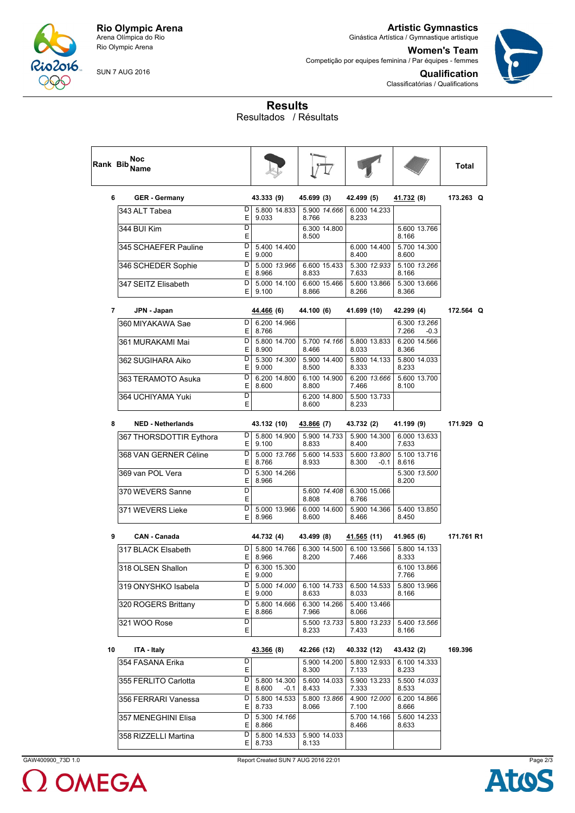

SUN 7 AUG 2016

**Artistic Gymnastics**

**Qualification**

Ginástica Artística / Gymnastique artistique **Women's Team** Competição por equipes feminina / Par équipes - femmes



Classificatórias / Qualifications

**Results**

|                | Noc                                                 |                   |                   |                        |             |              |                |                        |                   |                        |            |  |
|----------------|-----------------------------------------------------|-------------------|-------------------|------------------------|-------------|--------------|----------------|------------------------|-------------------|------------------------|------------|--|
| Rank Bib       | <b>Name</b>                                         |                   |                   |                        |             |              |                |                        |                   |                        | Total      |  |
| 6              | <b>GER - Germany</b>                                |                   | 43.333 (9)        |                        | 45.699 (3)  |              | 42.499 (5)     |                        | <u>41.732</u> (8) |                        | 173.263 Q  |  |
|                | 343 ALT Tabea                                       | D<br>E            | 9.033             | 5.800 14.833           | 8.766       | 5.900 14.666 | 8.233          | 6.000 14.233           |                   |                        |            |  |
|                | 344 BUI Kim                                         | D<br>Ε            |                   |                        | 8.500       | 6.300 14.800 |                |                        | 8.166             | 5.600 13.766           |            |  |
|                | 345 SCHAEFER Pauline                                | D<br>Е            | 9.000             | 5.400 14.400           |             |              | 8.400          | 6.000 14.400           | 8.600             | 5.700 14.300           |            |  |
|                | 346 SCHEDER Sophie                                  | D<br>Е            | 8.966             | 5.000 13.966           | 8.833       | 6.600 15.433 | 7.633          | 5.300 12.933           | 8.166             | 5.100 13.266           |            |  |
|                | 347 SEITZ Elisabeth                                 | D<br>Е            | 9.100             | 5.000 14.100           | 8.866       | 6.600 15.466 | 8.266          | 5.600 13.866           | 8.366             | 5.300 13.666           |            |  |
| $\overline{7}$ | JPN - Japan                                         |                   | <u>44.466</u> (6) |                        | 44.100 (6)  |              | 41.699 (10)    |                        | 42.299 (4)        |                        | 172.564 Q  |  |
|                | 360 MIYAKAWA Sae                                    | D<br>E            | 8.766             | 6.200 14.966           |             |              |                |                        | 7.266             | 6.300 13.266<br>$-0.3$ |            |  |
|                | 361 MURAKAMI Mai                                    | D<br>Е            | 8.900             | 5.800 14.700           | 8.466       | 5.700 14.166 | 8.033          | 5.800 13.833           | 8.366             | 6.200 14.566           |            |  |
|                | 362 SUGIHARA Aiko                                   | D<br>Е            | 9.000             | 5.300 14.300           | 8.500       | 5.900 14.400 | 8.333          | 5.800 14.133           | 8.233             | 5.800 14.033           |            |  |
|                | 363 TERAMOTO Asuka                                  | D<br>Ε            | 8.600             | 6.200 14.800           | 8.800       | 6.100 14.900 | 7.466          | 6.200 13.666           | 8.100             | 5.600 13.700           |            |  |
|                | 364 UCHIYAMA Yuki                                   | D<br>E            |                   |                        | 8.600       | 6.200 14.800 | 8.233          | 5.500 13.733           |                   |                        |            |  |
| 8              |                                                     |                   |                   |                        |             |              |                |                        |                   |                        |            |  |
|                | <b>NED - Netherlands</b><br>367 THORSDOTTIR Eythora | D                 | 43.132 (10)       | 5.800 14.900           | 43.866 (7)  | 5.900 14.733 | 43.732 (2)     | 5.900 14.300           | 41.199 (9)        | 6.000 13.633           | 171.929 Q  |  |
|                |                                                     | E                 | 9.100             |                        | 8.833       |              | 8.400          |                        | 7.633             |                        |            |  |
|                | 368 VAN GERNER Céline                               | D<br>Ε            | 8.766             | 5.000 13.766           | 8.933       | 5.600 14.533 | 8.300          | 5.600 13.800<br>$-0.1$ | 8.616             | 5.100 13.716           |            |  |
|                | 369 van POL Vera                                    | D<br>Е            | 8.966             | 5.300 14.266           |             |              |                |                        | 8.200             | 5.300 13.500           |            |  |
|                | 370 WEVERS Sanne                                    | D<br>E            |                   |                        | 8.808       | 5.600 14.408 | 8.766          | 6.300 15.066           |                   |                        |            |  |
|                | 371 WEVERS Lieke                                    | D<br>E            | 8.966             | 5.000 13.966           | 8.600       | 6.000 14.600 | 8.466          | 5.900 14.366           | 8.450             | 5.400 13.850           |            |  |
| 9              | <b>CAN - Canada</b>                                 |                   | 44.732 (4)        |                        | 43.499 (8)  |              | 41.565 (11)    |                        | 41.965 (6)        |                        | 171.761 R1 |  |
|                | 317 BLACK Elsabeth                                  | D<br>E            | 8.966             | 5.800 14.766           | 8.200       | 6.300 14.500 | 7.466          | 6.100 13.566           | 8.333             | 5.800 14.133           |            |  |
|                | 318 OLSEN Shallon                                   | D<br>Е            | 9.000             | 6.300 15.300           |             |              |                |                        | 7.766             | 6.100 13.866           |            |  |
|                | 319 ONYSHKO Isabela                                 | D.<br>E           | 9.000             | 5.000 14.000           | 8.633       | 6.100 14.733 | 8.033          | 6.500 14.533           | 8.166             | 5.800 13.966           |            |  |
|                | 320 ROGERS Brittany                                 | D<br>Е            | 8.866             | 5.800 14.666           | 7.966       | 6.300 14.266 | 8.066          | 5.400 13.466           |                   |                        |            |  |
|                | 321 WOO Rose                                        | D<br>E            |                   |                        |             | 5.500 13.733 |                | 5.800 13.233           | 8.166             | 5.400 13.566           |            |  |
| 10             |                                                     |                   |                   |                        | 8.233       |              | 7.433          |                        |                   |                        |            |  |
|                | ITA - Italy                                         |                   | 43.366 (8)        |                        | 42.266 (12) |              | 40.332 (12)    |                        | 43.432 (2)        |                        | 169.396    |  |
|                | 354 FASANA Erika                                    | D                 |                   |                        |             | 5.900 14.200 |                | 5.800 12.933           |                   | 6.100 14.333           |            |  |
|                | 355 FERLITO Carlotta                                | Ε<br>$\mathsf{D}$ |                   | 5.800 14.300           | 8.300       | 5.600 14.033 | 7.133          | 5.900 13.233           | 8.233             | 5.500 14.033           |            |  |
|                | 356 FERRARI Vanessa                                 | D.                | $E$   8.600       | $-0.1$<br>5.800 14.533 | 8.433       | 5.800 13.866 | 7.333          | 4.900 12.000           | 8.533             | 6.200 14.866           |            |  |
|                | 357 MENEGHINI Elisa                                 | ΕI<br>D<br>E.     | 8.733<br>8.866    | 5.300 14.166           | 8.066       |              | 7.100<br>8.466 | 5.700 14.166           | 8.666<br>8.633    | 5.600 14.233           |            |  |